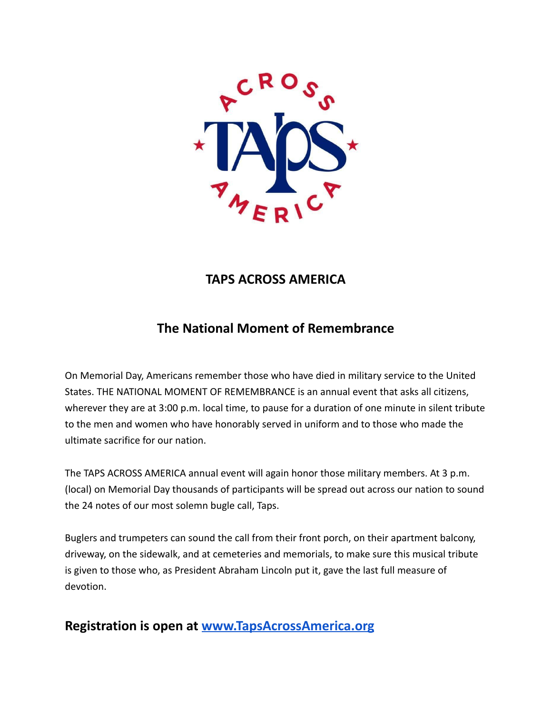

# **TAPS ACROSS AMERICA**

# **The National Moment of Remembrance**

On Memorial Day, Americans remember those who have died in military service to the United States. THE NATIONAL MOMENT OF REMEMBRANCE is an annual event that asks all citizens, wherever they are at 3:00 p.m. local time, to pause for a duration of one minute in silent tribute to the men and women who have honorably served in uniform and to those who made the ultimate sacrifice for our nation.

The TAPS ACROSS AMERICA annual event will again honor those military members. At 3 p.m. (local) on Memorial Day thousands of participants will be spread out across our nation to sound the 24 notes of our most solemn bugle call, Taps.

Buglers and trumpeters can sound the call from their front porch, on their apartment balcony, driveway, on the sidewalk, and at cemeteries and memorials, to make sure this musical tribute is given to those who, as President Abraham Lincoln put it, gave the last full measure of devotion.

# **Registration is open at [www.TapsAcrossAmerica.org](http://www.tapsacrossamerica.org)**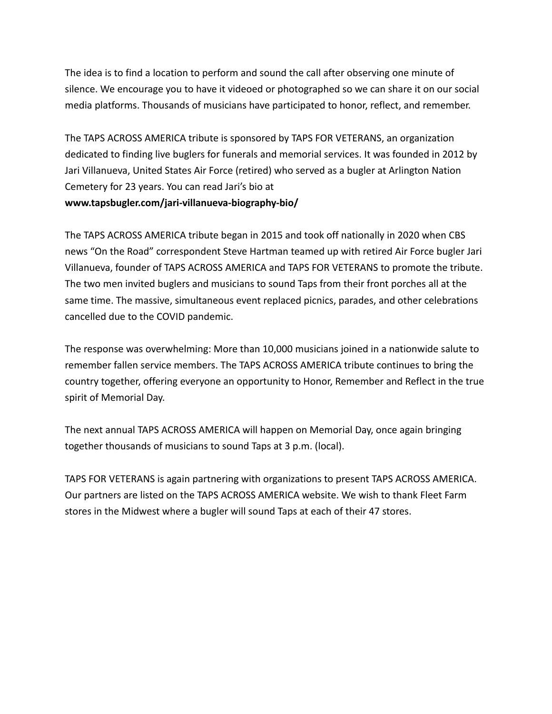The idea is to find a location to perform and sound the call after observing one minute of silence. We encourage you to have it videoed or photographed so we can share it on our social media platforms. Thousands of musicians have participated to honor, reflect, and remember.

The TAPS ACROSS AMERICA tribute is sponsored by TAPS FOR VETERANS, an organization dedicated to finding live buglers for funerals and memorial services. It was founded in 2012 by Jari Villanueva, United States Air Force (retired) who served as a bugler at Arlington Nation Cemetery for 23 years. You can read Jari's bio at **www.tapsbugler.com/jari-villanueva-biography-bio/**

The TAPS ACROSS AMERICA tribute began in 2015 and took off nationally in 2020 when CBS news "On the Road" correspondent Steve Hartman teamed up with retired Air Force bugler Jari Villanueva, founder of TAPS ACROSS AMERICA and TAPS FOR VETERANS to promote the tribute. The two men invited buglers and musicians to sound Taps from their front porches all at the same time. The massive, simultaneous event replaced picnics, parades, and other celebrations cancelled due to the COVID pandemic.

The response was overwhelming: More than 10,000 musicians joined in a nationwide salute to remember fallen service members. The TAPS ACROSS AMERICA tribute continues to bring the country together, offering everyone an opportunity to Honor, Remember and Reflect in the true spirit of Memorial Day.

The next annual TAPS ACROSS AMERICA will happen on Memorial Day, once again bringing together thousands of musicians to sound Taps at 3 p.m. (local).

TAPS FOR VETERANS is again partnering with organizations to present TAPS ACROSS AMERICA. Our partners are listed on the TAPS ACROSS AMERICA website. We wish to thank Fleet Farm stores in the Midwest where a bugler will sound Taps at each of their 47 stores.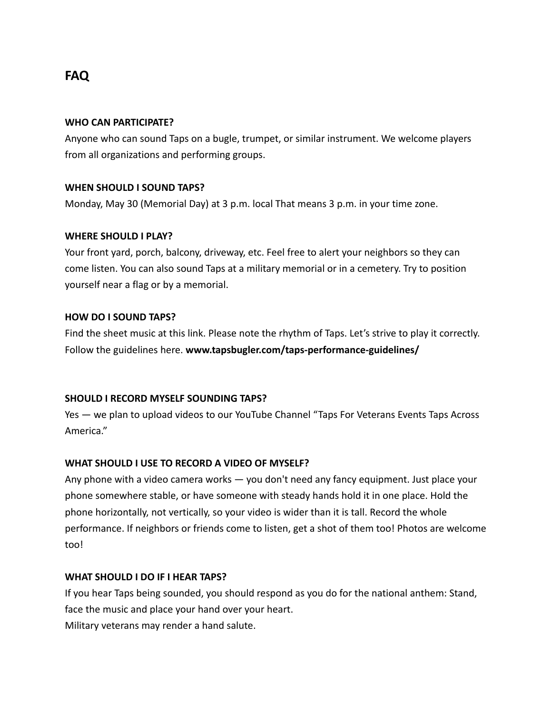# **FAQ**

### **WHO CAN PARTICIPATE?**

Anyone who can sound Taps on a bugle, trumpet, or similar instrument. We welcome players from all organizations and performing groups.

# **WHEN SHOULD I SOUND TAPS?**

Monday, May 30 (Memorial Day) at 3 p.m. local That means 3 p.m. in your time zone.

#### **WHERE SHOULD I PLAY?**

Your front yard, porch, balcony, driveway, etc. Feel free to alert your neighbors so they can come listen. You can also sound Taps at a military memorial or in a cemetery. Try to position yourself near a flag or by a memorial.

#### **HOW DO I SOUND TAPS?**

Find the sheet music at this link. Please note the rhythm of Taps. Let's strive to play it correctly. Follow the guidelines here. **www.tapsbugler.com/taps-performance-guidelines/**

# **SHOULD I RECORD MYSELF SOUNDING TAPS?**

Yes — we plan to upload videos to our YouTube Channel "Taps For Veterans Events Taps Across America."

# **WHAT SHOULD I USE TO RECORD A VIDEO OF MYSELF?**

Any phone with a video camera works — you don't need any fancy equipment. Just place your phone somewhere stable, or have someone with steady hands hold it in one place. Hold the phone horizontally, not vertically, so your video is wider than it is tall. Record the whole performance. If neighbors or friends come to listen, get a shot of them too! Photos are welcome too!

#### **WHAT SHOULD I DO IF I HEAR TAPS?**

If you hear Taps being sounded, you should respond as you do for the national anthem: Stand, face the music and place your hand over your heart. Military veterans may render a hand salute.